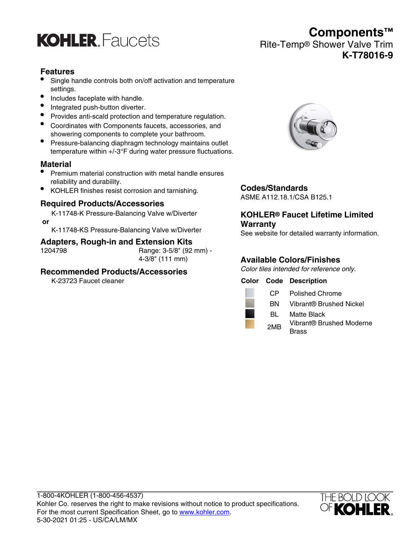

# **Components™** Rite-Temp® Shower Valve Trim **K-T78016-9**

### **Features**

- Single handle controls both on/off activation and temperature settings.
- Includes faceplate with handle.
- Integrated push-button diverter.
- Provides anti-scald protection and temperature regulation.
- Coordinates with Components faucets, accessories, and showering components to complete your bathroom.
- Pressure-balancing diaphragm technology maintains outlet temperature within +/-3°F during water pressure fluctuations.

#### **Material**

- Premium material construction with metal handle ensures reliability and durability.
- KOHLER finishes resist corrosion and tarnishing.

#### **Required Products/Accessories**

K-11748-K Pressure-Balancing Valve w/Diverter  **or**

K-11748-KS Pressure-Balancing Valve w/Diverter

#### **Adapters, Rough-in and Extension Kits**

1204798 Range: 3-5/8" (92 mm) - 4-3/8" (111 mm)

#### **Recommended Products/Accessories**

K-23723 Faucet cleaner



#### **Codes/Standards**

ASME A112.18.1/CSA B125.1

#### **KOHLER® Faucet Lifetime Limited Warranty**

See website for detailed warranty information.

#### **Available Colors/Finishes**

Color tiles intended for reference only.

|  |                 | <b>Color Code Description</b> |
|--|-----------------|-------------------------------|
|  | CP.             | <b>Polished Chrome</b>        |
|  | BN.             | Vibrant® Brushed Nickel       |
|  | BL              | <b>Matte Black</b>            |
|  | 2M <sub>R</sub> | Vibrant® Brushed Moderne      |
|  |                 | 3rass                         |